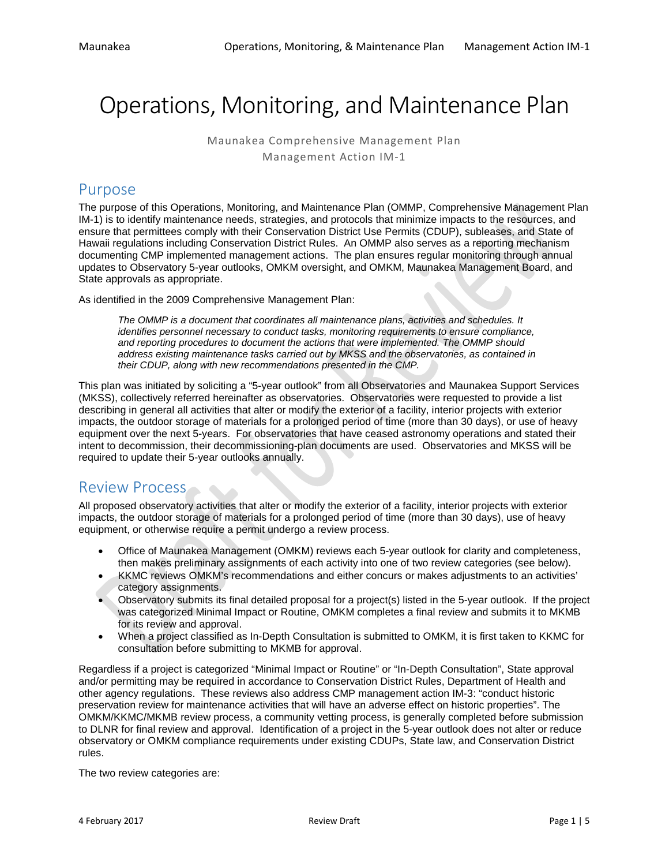# Operations, Monitoring, and Maintenance Plan

Maunakea Comprehensive Management Plan Management Action IM-1

### Purpose

The purpose of this Operations, Monitoring, and Maintenance Plan (OMMP, Comprehensive Management Plan IM-1) is to identify maintenance needs, strategies, and protocols that minimize impacts to the resources, and ensure that permittees comply with their Conservation District Use Permits (CDUP), subleases, and State of Hawaii regulations including Conservation District Rules. An OMMP also serves as a reporting mechanism documenting CMP implemented management actions. The plan ensures regular monitoring through annual updates to Observatory 5-year outlooks, OMKM oversight, and OMKM, Maunakea Management Board, and State approvals as appropriate.

As identified in the 2009 Comprehensive Management Plan:

*The OMMP is a document that coordinates all maintenance plans, activities and schedules. It identifies personnel necessary to conduct tasks, monitoring requirements to ensure compliance, and reporting procedures to document the actions that were implemented. The OMMP should address existing maintenance tasks carried out by MKSS and the observatories, as contained in their CDUP, along with new recommendations presented in the CMP.*

This plan was initiated by soliciting a "5-year outlook" from all Observatories and Maunakea Support Services (MKSS), collectively referred hereinafter as observatories. Observatories were requested to provide a list describing in general all activities that alter or modify the exterior of a facility, interior projects with exterior impacts, the outdoor storage of materials for a prolonged period of time (more than 30 days), or use of heavy equipment over the next 5-years. For observatories that have ceased astronomy operations and stated their intent to decommission, their decommissioning-plan documents are used. Observatories and MKSS will be required to update their 5-year outlooks annually.

## Review Process

All proposed observatory activities that alter or modify the exterior of a facility, interior projects with exterior impacts, the outdoor storage of materials for a prolonged period of time (more than 30 days), use of heavy equipment, or otherwise require a permit undergo a review process.

- Office of Maunakea Management (OMKM) reviews each 5-year outlook for clarity and completeness, then makes preliminary assignments of each activity into one of two review categories (see below).
- KKMC reviews OMKM's recommendations and either concurs or makes adjustments to an activities' category assignments.
- Observatory submits its final detailed proposal for a project(s) listed in the 5-year outlook. If the project was categorized Minimal Impact or Routine, OMKM completes a final review and submits it to MKMB for its review and approval.
- When a project classified as In-Depth Consultation is submitted to OMKM, it is first taken to KKMC for consultation before submitting to MKMB for approval.

Regardless if a project is categorized "Minimal Impact or Routine" or "In-Depth Consultation", State approval and/or permitting may be required in accordance to Conservation District Rules, Department of Health and other agency regulations. These reviews also address CMP management action IM-3: "conduct historic preservation review for maintenance activities that will have an adverse effect on historic properties". The OMKM/KKMC/MKMB review process, a community vetting process, is generally completed before submission to DLNR for final review and approval. Identification of a project in the 5-year outlook does not alter or reduce observatory or OMKM compliance requirements under existing CDUPs, State law, and Conservation District rules.

The two review categories are: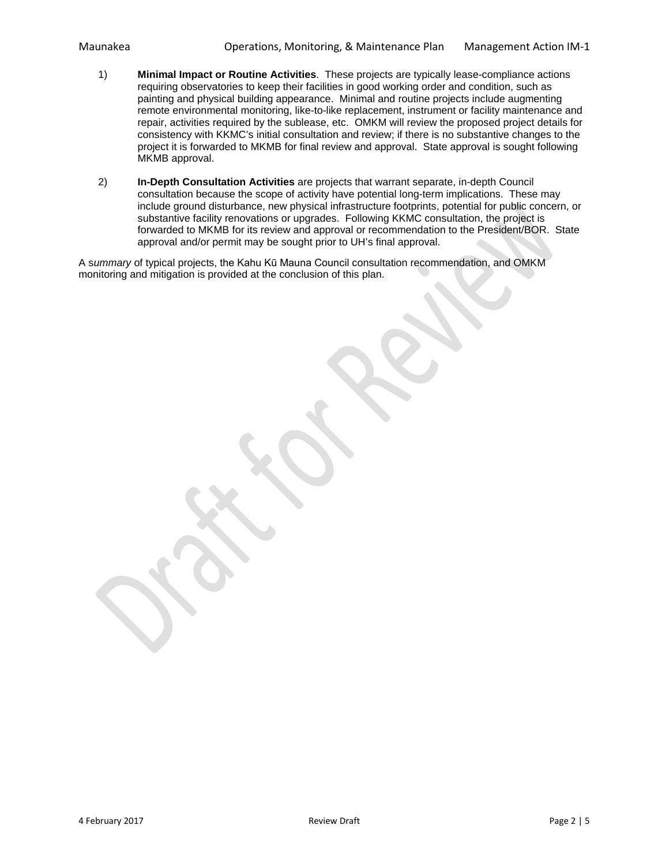- 1) **Minimal Impact or Routine Activities**. These projects are typically lease-compliance actions requiring observatories to keep their facilities in good working order and condition, such as painting and physical building appearance. Minimal and routine projects include augmenting remote environmental monitoring, like-to-like replacement, instrument or facility maintenance and repair, activities required by the sublease, etc. OMKM will review the proposed project details for consistency with KKMC's initial consultation and review; if there is no substantive changes to the project it is forwarded to MKMB for final review and approval. State approval is sought following MKMB approval.
- 2) **In-Depth Consultation Activities** are projects that warrant separate, in-depth Council consultation because the scope of activity have potential long-term implications. These may include ground disturbance, new physical infrastructure footprints, potential for public concern, or substantive facility renovations or upgrades. Following KKMC consultation, the project is forwarded to MKMB for its review and approval or recommendation to the President/BOR. State approval and/or permit may be sought prior to UH's final approval.

A s*ummary* of typical projects, the Kahu Kū Mauna Council consultation recommendation, and OMKM monitoring and mitigation is provided at the conclusion of this plan.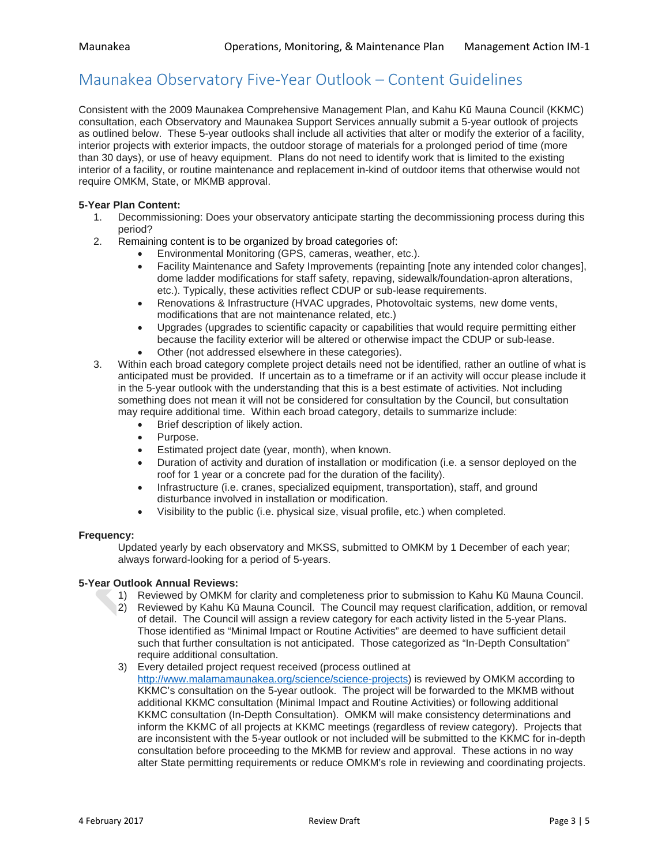## Maunakea Observatory Five-Year Outlook – Content Guidelines

Consistent with the 2009 Maunakea Comprehensive Management Plan, and Kahu Kū Mauna Council (KKMC) consultation, each Observatory and Maunakea Support Services annually submit a 5-year outlook of projects as outlined below. These 5-year outlooks shall include all activities that alter or modify the exterior of a facility, interior projects with exterior impacts, the outdoor storage of materials for a prolonged period of time (more than 30 days), or use of heavy equipment. Plans do not need to identify work that is limited to the existing interior of a facility, or routine maintenance and replacement in-kind of outdoor items that otherwise would not require OMKM, State, or MKMB approval.

## **5-Year Plan Content:**

- Decommissioning: Does your observatory anticipate starting the decommissioning process during this period?
- 2. Remaining content is to be organized by broad categories of:
	- Environmental Monitoring (GPS, cameras, weather, etc.).
	- Facility Maintenance and Safety Improvements (repainting [note any intended color changes], dome ladder modifications for staff safety, repaving, sidewalk/foundation-apron alterations, etc.). Typically, these activities reflect CDUP or sub-lease requirements.
	- Renovations & Infrastructure (HVAC upgrades, Photovoltaic systems, new dome vents, modifications that are not maintenance related, etc.)
	- Upgrades (upgrades to scientific capacity or capabilities that would require permitting either because the facility exterior will be altered or otherwise impact the CDUP or sub-lease.
	- Other (not addressed elsewhere in these categories).
- 3. Within each broad category complete project details need not be identified, rather an outline of what is anticipated must be provided. If uncertain as to a timeframe or if an activity will occur please include it in the 5-year outlook with the understanding that this is a best estimate of activities. Not including something does not mean it will not be considered for consultation by the Council, but consultation may require additional time. Within each broad category, details to summarize include:
	- Brief description of likely action.
	- Purpose.
	- Estimated project date (year, month), when known.
	- Duration of activity and duration of installation or modification (i.e. a sensor deployed on the roof for 1 year or a concrete pad for the duration of the facility).
	- Infrastructure (i.e. cranes, specialized equipment, transportation), staff, and ground disturbance involved in installation or modification.
	- Visibility to the public (i.e. physical size, visual profile, etc.) when completed.

### **Frequency:**

Updated yearly by each observatory and MKSS, submitted to OMKM by 1 December of each year; always forward-looking for a period of 5-years.

### **5-Year Outlook Annual Reviews:**

- 1) Reviewed by OMKM for clarity and completeness prior to submission to Kahu Kū Mauna Council.
- 2) Reviewed by Kahu Kū Mauna Council. The Council may request clarification, addition, or removal of detail. The Council will assign a review category for each activity listed in the 5-year Plans. Those identified as "Minimal Impact or Routine Activities" are deemed to have sufficient detail such that further consultation is not anticipated. Those categorized as "In-Depth Consultation" require additional consultation.
- 3) Every detailed project request received (process outlined at [http://www.malamamaunakea.org/science/science-projects\)](http://www.malamamaunakea.org/science/science-projects) is reviewed by OMKM according to KKMC's consultation on the 5-year outlook. The project will be forwarded to the MKMB without additional KKMC consultation (Minimal Impact and Routine Activities) or following additional KKMC consultation (In-Depth Consultation). OMKM will make consistency determinations and inform the KKMC of all projects at KKMC meetings (regardless of review category). Projects that are inconsistent with the 5-year outlook or not included will be submitted to the KKMC for in-depth consultation before proceeding to the MKMB for review and approval. These actions in no way alter State permitting requirements or reduce OMKM's role in reviewing and coordinating projects.